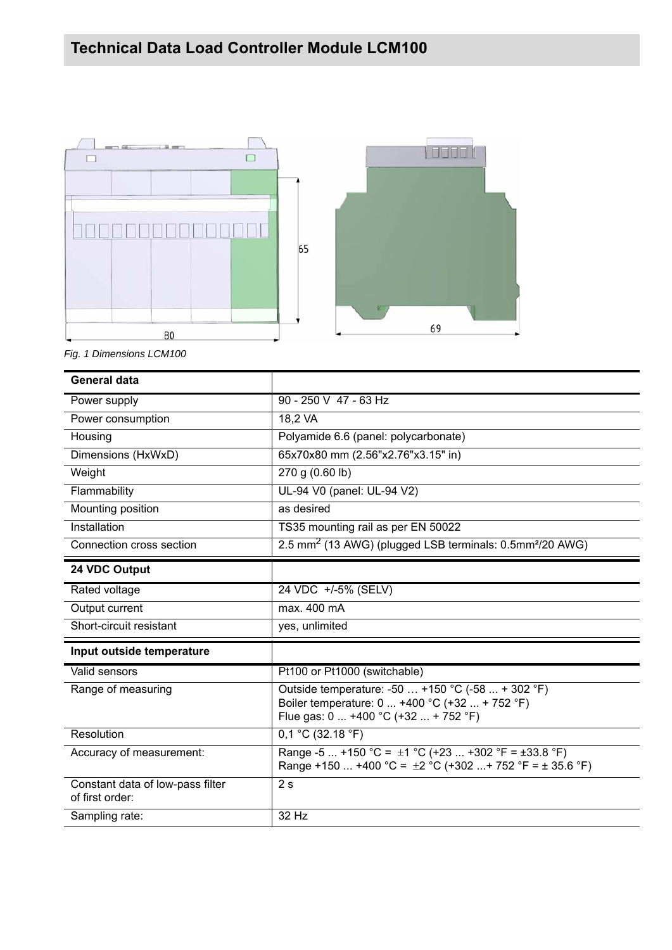

*Fig. 1 Dimensions LCM100*

| <b>General data</b>                                 |                                                                                                                                             |
|-----------------------------------------------------|---------------------------------------------------------------------------------------------------------------------------------------------|
| Power supply                                        | 90 - 250 V 47 - 63 Hz                                                                                                                       |
| Power consumption                                   | 18,2 VA                                                                                                                                     |
| Housing                                             | Polyamide 6.6 (panel: polycarbonate)                                                                                                        |
| Dimensions (HxWxD)                                  | 65x70x80 mm (2.56"x2.76"x3.15" in)                                                                                                          |
| Weight                                              | 270 g (0.60 lb)                                                                                                                             |
| Flammability                                        | UL-94 V0 (panel: UL-94 V2)                                                                                                                  |
| Mounting position                                   | as desired                                                                                                                                  |
| Installation                                        | TS35 mounting rail as per EN 50022                                                                                                          |
| Connection cross section                            | 2.5 mm <sup>2</sup> (13 AWG) (plugged LSB terminals: 0.5mm <sup>2</sup> /20 AWG)                                                            |
| 24 VDC Output                                       |                                                                                                                                             |
| Rated voltage                                       | 24 VDC +/-5% (SELV)                                                                                                                         |
| Output current                                      | max. 400 mA                                                                                                                                 |
| Short-circuit resistant                             | yes, unlimited                                                                                                                              |
| Input outside temperature                           |                                                                                                                                             |
| Valid sensors                                       | Pt100 or Pt1000 (switchable)                                                                                                                |
| Range of measuring                                  | Outside temperature: -50  +150 °C (-58  + 302 °F)<br>Boiler temperature: 0  +400 °C (+32  + 752 °F)<br>Flue gas: 0  +400 °C (+32  + 752 °F) |
| Resolution                                          | 0,1 °C (32.18 °F)                                                                                                                           |
| Accuracy of measurement:                            | Range -5  +150 °C = $\pm$ 1 °C (+23  +302 °F = $\pm$ 33.8 °F)<br>Range +150  +400 °C = $\pm$ 2 °C (+302  + 752 °F = $\pm$ 35.6 °F)          |
| Constant data of low-pass filter<br>of first order: | 2s                                                                                                                                          |
| Sampling rate:                                      | 32 Hz                                                                                                                                       |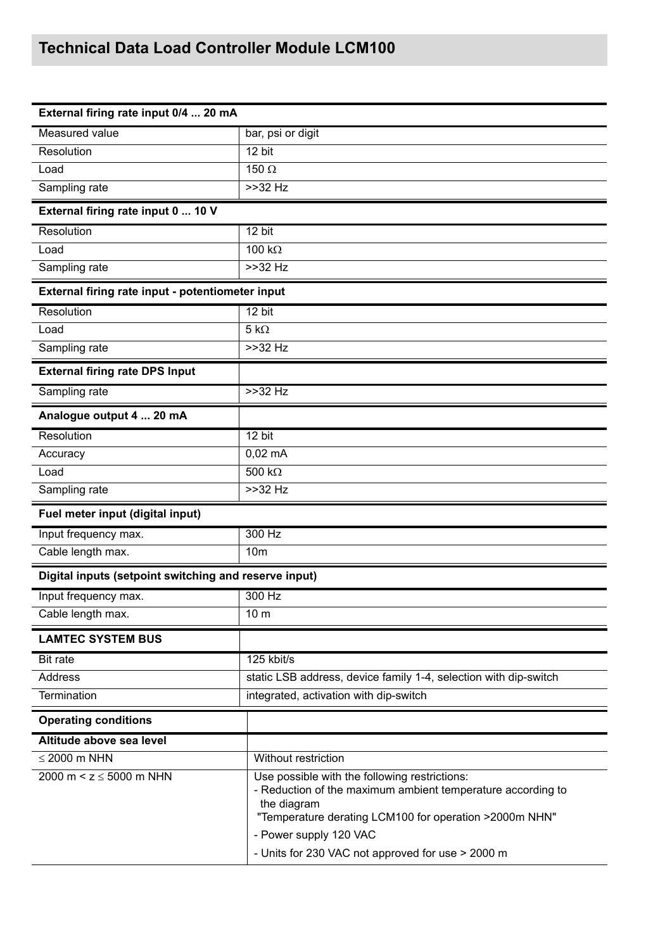## **Technical Data Load Controller Module LCM100**

| External firing rate input 0/4  20 mA                 |                                                                                                                                                                                       |  |  |  |
|-------------------------------------------------------|---------------------------------------------------------------------------------------------------------------------------------------------------------------------------------------|--|--|--|
| <b>Measured value</b>                                 | bar, psi or digit                                                                                                                                                                     |  |  |  |
| Resolution                                            | 12 bit                                                                                                                                                                                |  |  |  |
| Load                                                  | 150 $\Omega$                                                                                                                                                                          |  |  |  |
| Sampling rate                                         | $>>32$ Hz                                                                                                                                                                             |  |  |  |
| External firing rate input 0  10 V                    |                                                                                                                                                                                       |  |  |  |
| Resolution                                            | $12 \text{ bit}$                                                                                                                                                                      |  |  |  |
| Load                                                  | $100 k\Omega$                                                                                                                                                                         |  |  |  |
| Sampling rate                                         | $>>32$ Hz                                                                                                                                                                             |  |  |  |
| External firing rate input - potentiometer input      |                                                                                                                                                                                       |  |  |  |
| Resolution                                            | 12 bit                                                                                                                                                                                |  |  |  |
| Load                                                  | $5 k\Omega$                                                                                                                                                                           |  |  |  |
| Sampling rate                                         | $>>32$ Hz                                                                                                                                                                             |  |  |  |
| <b>External firing rate DPS Input</b>                 |                                                                                                                                                                                       |  |  |  |
| Sampling rate                                         | >>32 Hz                                                                                                                                                                               |  |  |  |
| Analogue output 4  20 mA                              |                                                                                                                                                                                       |  |  |  |
| Resolution                                            | 12 bit                                                                                                                                                                                |  |  |  |
| Accuracy                                              | $0,02$ mA                                                                                                                                                                             |  |  |  |
| Load                                                  | 500 $k\Omega$                                                                                                                                                                         |  |  |  |
| Sampling rate                                         | $>>32$ Hz                                                                                                                                                                             |  |  |  |
| Fuel meter input (digital input)                      |                                                                                                                                                                                       |  |  |  |
| Input frequency max.                                  | 300 Hz                                                                                                                                                                                |  |  |  |
| Cable length max.                                     | 10 <sub>m</sub>                                                                                                                                                                       |  |  |  |
| Digital inputs (setpoint switching and reserve input) |                                                                                                                                                                                       |  |  |  |
| Input frequency max.                                  | 300 Hz                                                                                                                                                                                |  |  |  |
| Cable length max.                                     | 10 <sub>m</sub>                                                                                                                                                                       |  |  |  |
| <b>LAMTEC SYSTEM BUS</b>                              |                                                                                                                                                                                       |  |  |  |
| <b>Bit rate</b>                                       | 125 kbit/s                                                                                                                                                                            |  |  |  |
| Address                                               | static LSB address, device family 1-4, selection with dip-switch                                                                                                                      |  |  |  |
| <b>Termination</b>                                    | integrated, activation with dip-switch                                                                                                                                                |  |  |  |
| <b>Operating conditions</b>                           |                                                                                                                                                                                       |  |  |  |
| Altitude above sea level                              |                                                                                                                                                                                       |  |  |  |
| $\leq$ 2000 m NHN                                     | Without restriction                                                                                                                                                                   |  |  |  |
| 2000 m < $z \le 5000$ m NHN                           | Use possible with the following restrictions:<br>- Reduction of the maximum ambient temperature according to<br>the diagram<br>"Temperature derating LCM100 for operation >2000m NHN" |  |  |  |
|                                                       | - Power supply 120 VAC                                                                                                                                                                |  |  |  |
|                                                       | - Units for 230 VAC not approved for use > 2000 m                                                                                                                                     |  |  |  |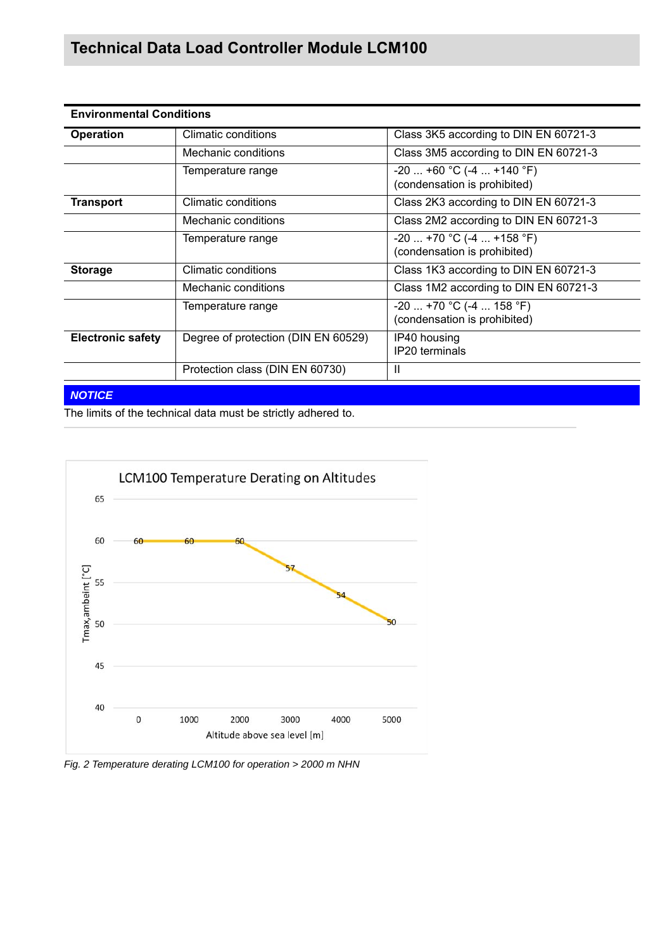## **Technical Data Load Controller Module LCM100**

| <b>Environmental Conditions</b> |                                     |                                                            |  |
|---------------------------------|-------------------------------------|------------------------------------------------------------|--|
| <b>Operation</b>                | Climatic conditions                 | Class 3K5 according to DIN EN 60721-3                      |  |
|                                 | Mechanic conditions                 | Class 3M5 according to DIN EN 60721-3                      |  |
|                                 | Temperature range                   | $-20$ +60 °C (-4  +140 °F)<br>(condensation is prohibited) |  |
| <b>Transport</b>                | Climatic conditions                 | Class 2K3 according to DIN EN 60721-3                      |  |
|                                 | Mechanic conditions                 | Class 2M2 according to DIN EN 60721-3                      |  |
|                                 | Temperature range                   | $-20$ +70 °C (-4  +158 °F)<br>(condensation is prohibited) |  |
| <b>Storage</b>                  | Climatic conditions                 | Class 1K3 according to DIN EN 60721-3                      |  |
|                                 | Mechanic conditions                 | Class 1M2 according to DIN EN 60721-3                      |  |
|                                 | Temperature range                   | $-20$ +70 °C (-4  158 °F)<br>(condensation is prohibited)  |  |
| <b>Electronic safety</b>        | Degree of protection (DIN EN 60529) | IP40 housing<br><b>IP20</b> terminals                      |  |
|                                 | Protection class (DIN EN 60730)     | $\mathbf{I}$                                               |  |

## *NOTICE*

The limits of the technical data must be strictly adhered to.



*Fig. 2 Temperature derating LCM100 for operation > 2000 m NHN*